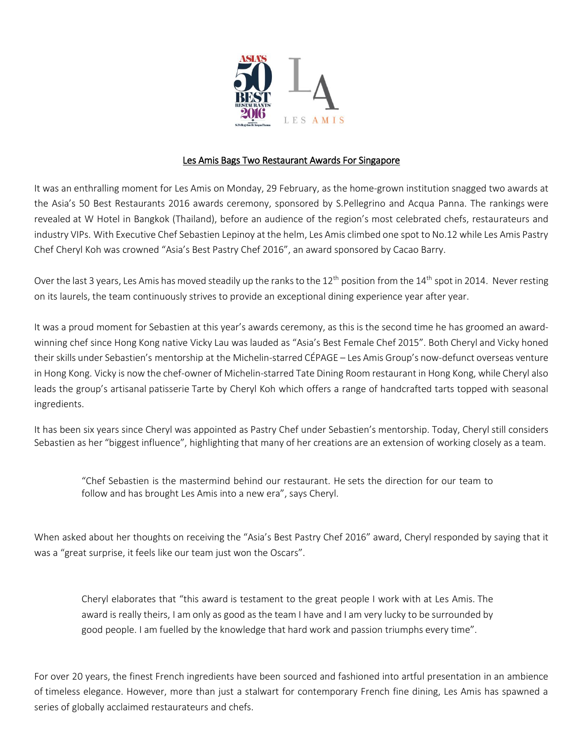

## Les Amis Bags Two Restaurant Awards For Singapore

It was an enthralling moment for Les Amis on Monday, 29 February, as the home-grown institution snagged two awards at the Asia's 50 Best Restaurants 2016 awards ceremony, sponsored by S.Pellegrino and Acqua Panna. The rankings were revealed at W Hotel in Bangkok (Thailand), before an audience of the region's most celebrated chefs, restaurateurs and industry VIPs. With Executive Chef Sebastien Lepinoy at the helm, Les Amis climbed one spot to No.12 while Les Amis Pastry Chef Cheryl Koh was crowned "Asia's Best Pastry Chef 2016", an award sponsored by Cacao Barry.

Over the last 3 years, Les Amis has moved steadily up the ranks to the  $12^{th}$  position from the  $14^{th}$  spot in 2014. Never resting on its laurels, the team continuously strives to provide an exceptional dining experience year after year.

It was a proud moment for Sebastien at this year's awards ceremony, as this is the second time he has groomed an awardwinning chef since Hong Kong native Vicky Lau was lauded as "Asia's Best Female Chef 2015". Both Cheryl and Vicky honed their skills under Sebastien's mentorship at the Michelin-starred CÉPAGE – Les Amis Group's now-defunct overseas venture in Hong Kong. Vicky is now the chef-owner of Michelin-starred Tate Dining Room restaurant in Hong Kong, while Cheryl also leads the group's artisanal patisserie Tarte by Cheryl Koh which offers a range of handcrafted tarts topped with seasonal ingredients.

It has been six years since Cheryl was appointed as Pastry Chef under Sebastien's mentorship. Today, Cheryl still considers Sebastien as her "biggest influence", highlighting that many of her creations are an extension of working closely as a team.

"Chef Sebastien is the mastermind behind our restaurant. He sets the direction for our team to follow and has brought Les Amis into a new era", says Cheryl.

When asked about her thoughts on receiving the "Asia's Best Pastry Chef 2016" award, Cheryl responded by saying that it was a "great surprise, it feels like our team just won the Oscars".

Cheryl elaborates that "this award is testament to the great people I work with at Les Amis. The award is really theirs, I am only as good as the team I have and I am very lucky to be surrounded by good people. I am fuelled by the knowledge that hard work and passion triumphs every time".

For over 20 years, the finest French ingredients have been sourced and fashioned into artful presentation in an ambience of timeless elegance. However, more than just a stalwart for contemporary French fine dining, Les Amis has spawned a series of globally acclaimed restaurateurs and chefs.